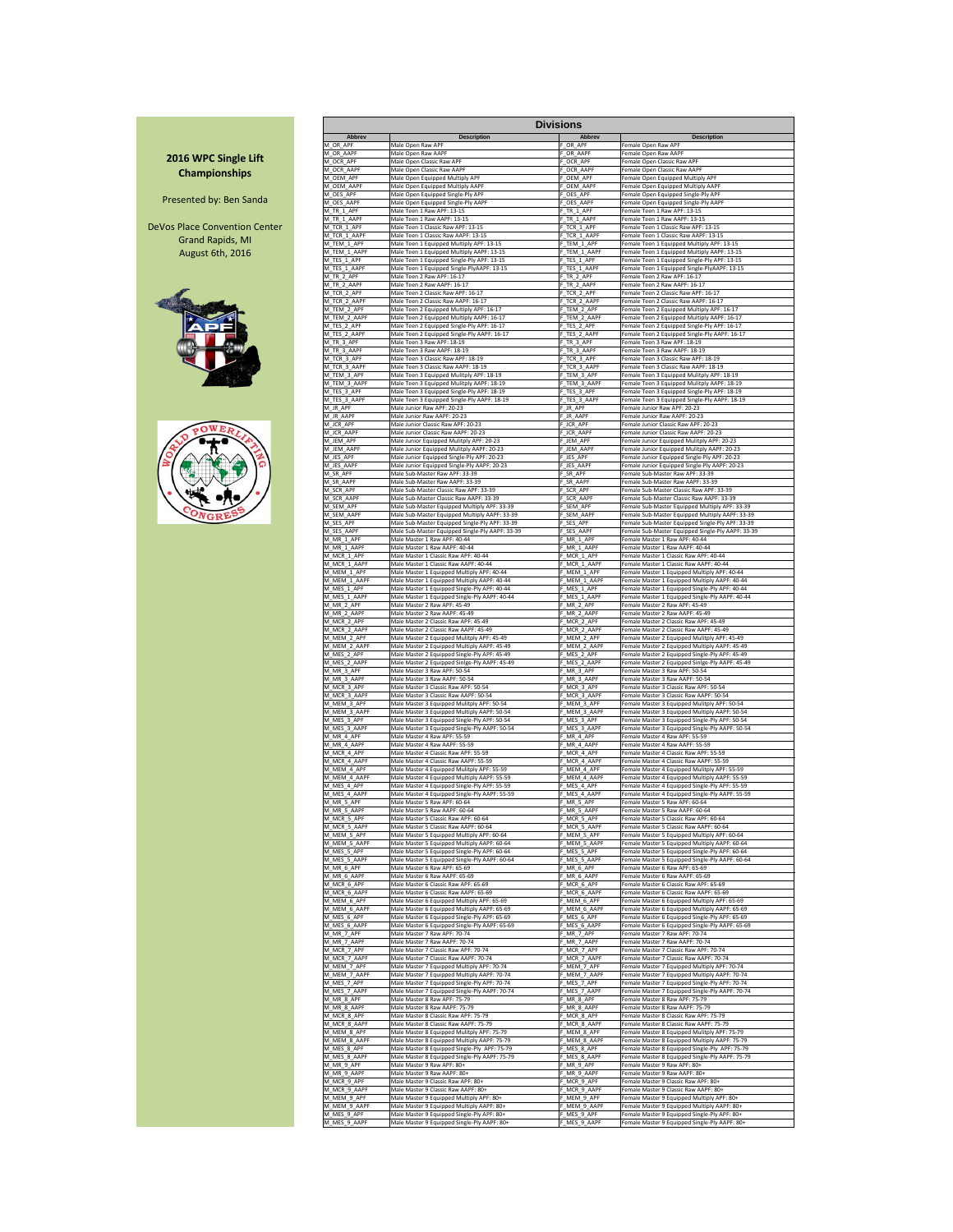| <b>Abbrev</b>               | <b>Description</b>                                                            | <b>Divisions</b><br><b>Abbrev</b> | <b>Description</b>                                                                          |
|-----------------------------|-------------------------------------------------------------------------------|-----------------------------------|---------------------------------------------------------------------------------------------|
| M_OR_APF                    | Male Open Raw APF                                                             | F OR APF                          | Female Open Raw APF                                                                         |
| M OR AAPF                   | Male Open Raw AAPF                                                            | F OR AAPF                         | Female Open Raw AAPF                                                                        |
| M_OCR_APF                   | Male Open Classic Raw APF                                                     | F OCR APF                         | Female Open Classic Raw APF                                                                 |
| M_OCR_AAPF                  | Male Open Classic Raw AAPF                                                    | F OCR AAPF                        | Female Open Classic Raw AAPF                                                                |
| M_OEM_APF                   | Male Open Equipped Multiply APF                                               | F_OEM_APF                         | Female Open Equipped Multiply APF                                                           |
| M OEM AAPF                  | Male Open Equipped Multiply AAPF                                              | F OEM AAPF                        | Female Open Equipped Multiply AAPF                                                          |
| M OES APF                   | Male Open Equipped Single-Ply APF                                             | OES_APF                           | Female Open Equipped Single-Ply APF                                                         |
| M OES AAPF                  | Male Open Equipped Single-Ply AAPF                                            | F OES AAPF                        | Female Open Equipped Single-Ply AAPF                                                        |
| M_TR_1_APF                  | Male Teen 1 Raw APF: 13-15                                                    | F_TR_1_APF                        | Female Teen 1 Raw APF: 13-15                                                                |
| M TR 1 AAPF                 | Male Teen 1 Raw AAPF: 13-15                                                   | F TR 1 AAPF                       | Female Teen 1 Raw AAPF: 13-15                                                               |
| M TCR 1 APF                 | Male Teen 1 Classic Raw APF: 13-15                                            | F TCR 1 APF                       | Female Teen 1 Classic Raw APF: 13-15                                                        |
| M TCR 1 AAPF                | Male Teen 1 Classic Raw AAPF: 13-15                                           | F TCR 1 AAPF                      | Female Teen 1 Classic Raw AAPF: 13-15                                                       |
| M TEM 1 APF                 | Male Teen 1 Equipped Multiply APF: 13-15                                      | F_TEM_1_APF                       | Female Teen 1 Equipped Multiply APF: 13-15                                                  |
| M TEM 1 AAPF                | Male Teen 1 Equipped Multiply AAPF: 13-15                                     | F TEM 1 AAPF                      | Female Teen 1 Equipped Multiply AAPF: 13-15                                                 |
| M_TES_1_APF                 | Male Teen 1 Equipped Single-Ply APF: 13-15                                    | F_TES_1_APF                       | Female Teen 1 Equipped Single-Ply APF: 13-15                                                |
| M TES 1 AAPF                | Male Teen 1 Equipped Single-PlyAAPF: 13-15                                    | F TES 1 AAPF                      | Female Teen 1 Equipped Single-PlyAAPF: 13-15                                                |
| M TR 2 APF                  | Male Teen 2 Raw APF: 16-17                                                    | F TR 2 APF                        | Female Teen 2 Raw APF: 16-17                                                                |
| M TR 2 AAPF                 | Male Teen 2 Raw AAPF: 16-17                                                   | F TR 2 AAPF                       | Female Teen 2 Raw AAPF: 16-17                                                               |
| M_TCR_2_APF                 | Male Teen 2 Classic Raw APF: 16-17                                            | F TCR 2 APF                       | Female Teen 2 Classic Raw APF: 16-17                                                        |
| M TCR 2 AAPF                | Male Teen 2 Classic Raw AAPF: 16-17                                           | F_TCR_2_AAPF                      | Female Teen 2 Classic Raw AAPF: 16-17                                                       |
| M TEM 2 APF                 | Male Teen 2 Equipped Multiply APF: 16-17                                      | F_TEM_2_APF                       | Female Teen 2 Equipped Multiply APF: 16-17                                                  |
| M TEM 2 AAPF                | Male Teen 2 Equipped Multiply AAPF: 16-17                                     | F TEM 2 AAPF                      | Female Teen 2 Equipped Multiply AAPF: 16-17                                                 |
| M_TES_2_APF                 | Male Teen 2 Equipped Single-Ply APF: 16-17                                    | F_TES_2_APF                       | Female Teen 2 Equipped Single-Ply APF: 16-17                                                |
| M_TES_2_AAPF                | Male Teen 2 Equipped Single-Ply AAPF: 16-17                                   | F TES 2 AAPF                      | Female Teen 2 Equipped Single-Ply AAPF: 16-17                                               |
| M_TR_3_APF                  | Male Teen 3 Raw APF: 18-19                                                    | F_TR_3_APF                        | Female Teen 3 Raw APF: 18-19                                                                |
| M TR 3 AAPF                 | Male Teen 3 Raw AAPF: 18-19                                                   | F TR 3 AAPF                       | Female Teen 3 Raw AAPF: 18-19                                                               |
| M TCR 3 APF                 | Male Teen 3 Classic Raw APF: 18-19                                            | F TCR 3 APF                       | Female Teen 3 Classic Raw APF: 18-19                                                        |
| M_TCR_3_AAPF                | Male Teen 3 Classic Raw AAPF: 18-19                                           | F_TCR_3_AAPF                      | Female Teen 3 Classic Raw AAPF: 18-19                                                       |
| M_TEM_3_APF                 | Male Teen 3 Equipped Mulitply APF: 18-19                                      | F_TEM_3_APF                       | Female Teen 3 Equipped Mulitply APF: 18-19                                                  |
| M TEM 3 AAPF                | Male Teen 3 Equipped Mulitply AAPF: 18-19                                     | F TEM 3 AAPF                      |                                                                                             |
| M_TES_3_APF                 | Male Teen 3 Equipped Single-Ply APF: 18-19                                    | F TES 3 APF                       | Female Teen 3 Equipped Mulitply AAPF: 18-19<br>Female Teen 3 Equipped Single-Ply APF: 18-19 |
| M_TES_3_AAPF                | Male Teen 3 Equipped Single-Ply AAPF: 18-19                                   | F_TES_3_AAPF                      | Female Teen 3 Equipped Single-Ply AAPF: 18-19                                               |
| M JR APF                    | Male Junior Raw APF: 20-23                                                    | F JR APF                          | Female Junior Raw APF: 20-23                                                                |
| M_JR_AAPF                   | Male Junior Raw AAPF: 20-23                                                   | F_JR_AAPF                         | Female Junior Raw AAPF: 20-23                                                               |
| M_JCR_APF                   | Male Junior Classic Raw APF: 20-23                                            | F JCR APF                         | Female Junior Classic Raw APF: 20-23                                                        |
| M_JCR_AAPF                  | Male Junior Classic Raw AAPF: 20-23                                           | F_JCR_AAPF                        | Female Junior Classic Raw AAPF: 20-23                                                       |
| M JEM APF                   | Male Junior Equipped Mulitply APF: 20-23                                      | F JEM APF                         | Female Junior Equipped Mulitply APF: 20-23                                                  |
| M_JEM_AAPF                  | Male Junior Equipped Mulitply AAPF: 20-23                                     | F_JEM_AAPF                        | Female Junior Equipped Mulitply AAPF: 20-23                                                 |
| M_JES_APF                   | Male Junior Equipped Single-Ply APF: 20-23                                    | F_JES_APF                         | Female Junior Equipped Single-Ply APF: 20-23                                                |
| M JES AAPF                  | Male Junior Equipped Single-Ply AAPF: 20-23                                   | F JES AAPF                        | Female Junior Equipped Single-Ply AAPF: 20-23                                               |
| M SR APF                    | Male Sub-Master Raw APF: 33-39                                                | F SR APF                          | Female Sub-Master Raw APF: 33-39                                                            |
| M_SR_AAPF                   | Male Sub-Master Raw AAPF: 33-39                                               | F_SR_AAPF                         | Female Sub-Master Raw AAPF: 33-39                                                           |
| M SCR APF                   | Male Sub-Master Classic Raw APF: 33-39                                        | F SCR APF                         | Female Sub-Master Classic Raw APF: 33-39                                                    |
| M_SCR_AAPF                  | Male Sub-Master Classic Raw AAPF: 33-39                                       | F_SCR_AAPF                        | Female Sub-Master Classic Raw AAPF: 33-39                                                   |
| M SEM APF                   | Male Sub-Master Equipped Multiply APF: 33-39                                  | F SEM APF                         | Female Sub-Master Equipped Multiply APF: 33-39                                              |
| M_SEM_AAPF                  | Male Sub-Master Equipped Multiply AAPF: 33-39                                 | F SEM AAPF                        | Female Sub-Master Equipped Multiply AAPF: 33-39                                             |
| M SES APF                   | Male Sub-Master Equipped Single-Ply APF: 33-39                                | F SES APF                         | Female Sub-Master Equipped Single-Ply APF: 33-39                                            |
| M_SES_AAPF                  | Male Sub-Master Equipped Single-Ply AAPF: 33-39                               | F SES AAPF                        | Female Sub-Master Equipped Single-Ply AAPF: 33-39                                           |
| M MR 1 APF                  | Male Master 1 Raw APF: 40-44                                                  | F MR 1 APF                        | Female Master 1 Raw APF: 40-44                                                              |
| M MR 1 AAPF                 | Male Master 1 Raw AAPF: 40-44                                                 | F MR 1 AAPF                       | Female Master 1 Raw AAPF: 40-44                                                             |
| M MCR 1 APF                 | Male Master 1 Classic Raw APF: 40-44<br>Male Master 1 Classic Raw AAPF: 40-44 | F MCR 1 APF                       | Female Master 1 Classic Raw APF: 40-44<br>Female Master 1 Classic Raw AAPF: 40-44           |
| M MCR 1 AAPF<br>M MEM 1 APF | Male Master 1 Equipped Multiply APF: 40-44                                    | F MCR 1 AAPF<br>F MEM 1 APF       | Female Master 1 Equipped Multiply APF: 40-44                                                |
| M_MEM_1_AAPF                | Male Master 1 Equipped Multiply AAPF: 40-44                                   | F_MEM_1_AAPF                      | Female Master 1 Equipped Multiply AAPF: 40-44                                               |
| M MES 1 APF                 | Male Master 1 Equipped Single-Ply APF: 40-44                                  | F MES 1 APF                       | Female Master 1 Equipped Single-Ply APF: 40-44                                              |
| M_MES_1_AAPF                | Male Master 1 Equipped Single-Ply AAPF: 40-44                                 | F MES 1 AAPF                      | Female Master 1 Equipped Single-Ply AAPF: 40-44                                             |
| M_MR_2_APF                  | Male Master 2 Raw APF: 45-49                                                  | F MR 2 APF                        | Female Master 2 Raw APF: 45-49                                                              |
| M_MR_2_AAPF                 | Male Master 2 Raw AAPF: 45-49                                                 | F_MR_2_AAPF                       | Female Master 2 Raw AAPF: 45-49                                                             |
| M MCR 2 APF                 | Male Master 2 Classic Raw APF: 45-49                                          | F MCR 2 APF                       | Female Master 2 Classic Raw APF: 45-49                                                      |
| M MCR 2 AAPF                | Male Master 2 Classic Raw AAPF: 45-49                                         | F MCR 2 AAPF                      | Female Master 2 Classic Raw AAPF: 45-49                                                     |
| M MEM 2 APF                 | Male Master 2 Equipped Mulitply APF: 45-49                                    | F MEM 2 APF                       | Female Master 2 Equipped Mulitply APF: 45-49                                                |
| M MEM 2 AAPF                | Male Master 2 Equipped Multiply AAPF: 45-49                                   | F_MEM_2_AAPF                      | Female Master 2 Equipped Multiply AAPF: 45-49                                               |
| M_MES_2_APF                 | Male Master 2 Equipped Single-Ply APF: 45-49                                  | F_MES_2_APF                       | Female Master 2 Equipped Single-Ply APF: 45-49                                              |
| M MES 2 AAPF                | Male Master 2 Equipped Sinlge-Ply AAPF: 45-49                                 | F MES 2 AAPF                      | Female Master 2 Equipped Sinlge-Ply AAPF: 45-49                                             |
| M_MR_3_APF                  | Male Master 3 Raw APF: 50-54                                                  | F_MR_3_APF                        | Female Master 3 Raw APF: 50-54                                                              |
| M_MR_3_AAPF                 | Male Master 3 Raw AAPF: 50-54                                                 | F_MR_3_AAPF                       | Female Master 3 Raw AAPF: 50-54                                                             |
| M_MCR_3_APF                 | Male Master 3 Classic Raw APF: 50-54                                          | F MCR 3 APF                       | Female Master 3 Classic Raw APF: 50-54                                                      |
| M MCR 3 AAPF                | Male Master 3 Classic Raw AAPF: 50-54                                         | F_MCR_3_AAPF                      | Female Master 3 Classic Raw AAPF: 50-54                                                     |
| M_MEM_3_APF                 | Male Master 3 Equipped Mulitply APF: 50-54                                    | F MEM 3 APF                       | Female Master 3 Equipped Mulitply APF: 50-54                                                |
| M MEM 3 AAPF                | Male Master 3 Equipped Multiply AAPF: 50-54                                   | F MEM 3 AAPF                      | Female Master 3 Equipped Multiply AAPF: 50-54                                               |
| M_MES_3_APF                 | Male Master 3 Equipped Single-Ply APF: 50-54                                  | F_MES_3_APF                       | Female Master 3 Equipped Single-Ply APF: 50-54                                              |
| M_MES_3_AAPF                | Male Master 3 Equipped Single-Ply AAPF: 50-54                                 | F_MES_3_AAPF                      | Female Master 3 Equipped Single-Ply AAPF: 50-54                                             |
| M_MR_4_APF                  | Male Master 4 Raw APF: 55-59                                                  | F_MR_4_APF                        | Female Master 4 Raw APF: 55-59                                                              |
| M MR 4 AAPF                 | Male Master 4 Raw AAPF: 55-59                                                 | F MR 4 AAPF                       | Female Master 4 Raw AAPF: 55-59                                                             |
| M MCR 4 APF                 | Male Master 4 Classic Raw APF: 55-59                                          | F MCR 4 APF                       | Female Master 4 Classic Raw APF: 55-59                                                      |
| M MCR 4 AAPF                | Male Master 4 Classic Raw AAPF: 55-59                                         | F MCR 4 AAPF                      | Female Master 4 Classic Raw AAPF: 55-59                                                     |
| M_MEM_4_APF                 | Male Master 4 Equipped Mulitply APF: 55-59                                    | F_MEM_4_APF                       | Female Master 4 Equipped Mulitply APF: 55-59                                                |
| M_MEM_4_AAPF                | Male Master 4 Equipped Multiply AAPF: 55-59                                   | F MEM 4 AAPF                      | Female Master 4 Equipped Multiply AAPF: 55-59                                               |
| M_MES_4_APF                 | Male Master 4 Equipped Single-Ply APF: 55-59                                  | F_MES_4_APF                       | Female Master 4 Equipped Single-Ply APF: 55-59                                              |
| M MES 4 AAPF                | Male Master 4 Equipped Single-Ply AAPF: 55-59                                 | F MES 4 AAPF                      | Female Master 4 Equipped Single-Ply AAPF: 55-59                                             |
| M MR 5 APF                  | Male Master 5 Raw APF: 60-64                                                  | F MR 5 APF                        | Female Master 5 Raw APF: 60-64                                                              |
| M_MR_5_AAPF                 | Male Master 5 Raw AAPF: 60-64                                                 | F MR 5 AAPF                       | Female Master 5 Raw AAPF: 60-64                                                             |
| M_MCR_5_APF                 | Male Master 5 Classic Raw APF: 60-64                                          | F_MCR_5_APF                       | Female Master 5 Classic Raw APF: 60-64                                                      |
| M MCR 5 AAPF                | Male Master 5 Classic Raw AAPF: 60-64                                         | F MCR 5 AAPF                      | Female Master 5 Classic Raw AAPF: 60-64                                                     |
| M_MEM_5_APF                 | Male Master 5 Equipped Multiply APF: 60-64                                    | F MEM_5_APF                       | Female Master 5 Equipped Multiply APF: 60-64                                                |
| M MEM 5 AAPF                | Male Master 5 Equipped Multiply AAPF: 60-64                                   | F MEM 5 AAPF                      | Female Master 5 Equipped Multiply AAPF: 60-64                                               |
| M_MES_5_APF                 | Male Master 5 Equipped Single-Ply APF: 60-64                                  | F_MES_5_APF                       | Female Master 5 Equipped Single-Ply APF: 60-64                                              |
| M_MES_5_AAPF                | Male Master 5 Equipped Single-Ply AAPF: 60-64                                 | F_MES_5_AAPF                      | Female Master 5 Equipped Single-Ply AAPF: 60-64                                             |
| M_MR_6_APF                  | Male Master 6 Raw APF: 65-69                                                  | F_MR_6_APF                        | Female Master 6 Raw APF: 65-69                                                              |
| M MR 6 AAPF                 | Male Master 6 Raw AAPF: 65-69                                                 | F MR 6 AAPF                       | Female Master 6 Raw AAPF: 65-69                                                             |
| M_MCR_6_APF                 | Male Master 6 Classic Raw APF: 65-69                                          | F_MCR_6_APF                       | Female Master 6 Classic Raw APF: 65-69                                                      |
| M MCR 6 AAPF                | Male Master 6 Classic Raw AAPF: 65-69                                         | F_MCR_6_AAPF                      | Female Master 6 Classic Raw AAPF: 65-69                                                     |
| M MEM 6 APF                 | Male Master 6 Equipped Multiply APF: 65-69                                    | F MEM 6 APF                       | Female Master 6 Equipped Multiply APF: 65-69                                                |
| M MEM 6 AAPF                | Male Master 6 Equipped Multiply AAPF: 65-69                                   | F MEM 6 AAPF                      | Female Master 6 Equipped Multiply AAPF: 65-69                                               |
| M_MES_6_APF                 | Male Master 6 Equipped Single-Ply APF: 65-69                                  | F MES 6 APF                       | Female Master 6 Equipped Single-Ply APF: 65-69                                              |
| M MES 6 AAPF                | Male Master 6 Equipped Single-Ply AAPF: 65-69                                 | F MES 6 AAPF                      | Female Master 6 Equipped Single-Ply AAPF: 65-69                                             |
| M_MR_7_APF                  | Male Master 7 Raw APF: 70-74                                                  | F_MR_7_APF                        | Female Master 7 Raw APF: 70-74                                                              |
| M MR 7 AAPF                 | Male Master 7 Raw AAPF: 70-74                                                 | F MR 7 AAPF                       | Female Master 7 Raw AAPF: 70-74                                                             |
| M MCR 7 APF                 | Male Master 7 Classic Raw APF: 70-74                                          | F MCR 7 APF                       | Female Master 7 Classic Raw APF: 70-74                                                      |
| M_MCR_7_AAPF                | Male Master 7 Classic Raw AAPF: 70-74                                         | F_MCR_7_AAPF                      | Female Master 7 Classic Raw AAPF: 70-74                                                     |
| M MEM 7 APF                 | Male Master 7 Equipped Multiply APF: 70-74                                    | F MEM 7 APF                       | Female Master 7 Equipped Multiply APF: 70-74                                                |
| M_MEM_7_AAPF                | Male Master 7 Equipped Multiply AAPF: 70-74                                   | F_MEM_7_AAPF                      | Female Master 7 Equipped Multiply AAPF: 70-74                                               |
| M MES 7 APF                 | Male Master 7 Equipped Single-Ply APF: 70-74                                  | F MES 7 APF                       | Female Master 7 Equipped Single-Ply APF: 70-74                                              |
| M MES 7 AAPF                | Male Master 7 Equipped Single-Ply AAPF: 70-74                                 | F MES 7 AAPF                      | Female Master 7 Equipped Single-Ply AAPF: 70-74                                             |
| M_MR_8_APF                  | Male Master 8 Raw APF: 75-79                                                  | F_MR_8_APF                        | Female Master 8 Raw APF: 75-79                                                              |
| M MR 8 AAPF                 | Male Master 8 Raw AAPF: 75-79                                                 | F MR 8 AAPF                       | Female Master 8 Raw AAPF: 75-79                                                             |
| M MCR 8 APF                 | Male Master 8 Classic Raw APF: 75-79                                          | F MCR 8 APF                       | Female Master 8 Classic Raw APF: 75-79                                                      |
| M MCR 8 AAPF                | Male Master 8 Classic Raw AAPF: 75-79                                         | F MCR 8 AAPF                      | Female Master 8 Classic Raw AAPF: 75-79                                                     |
| M MEM 8 APF                 | Male Master 8 Equipped Mulitply APF: 75-79                                    | F MEM 8 APF                       | Female Master 8 Equipped Mulitply APF: 75-79                                                |
| M_MEM_8_AAPF                | Male Master 8 Equipped Multiply AAPF: 75-79                                   | F_MEM_8_AAPF                      | Female Master 8 Equipped Multiply AAPF: 75-79                                               |
| M MES 8 APF                 | Male Master 8 Equipped Single-Ply APF: 75-79                                  | F MES 8 APF                       | Female Master 8 Equipped Single-Ply APF: 75-79                                              |
| M MES 8 AAPF                | Male Master 8 Equipped Single-Ply AAPF: 75-79                                 | F MES 8 AAPF                      | Female Master 8 Equipped Single-Ply AAPF: 75-79                                             |
| M MR 9 APF                  | Male Master 9 Raw APF: 80+                                                    | F MR 9 APF                        | Female Master 9 Raw APF: 80+                                                                |
| M MR 9 AAPF                 | Male Master 9 Raw AAPF: 80+                                                   | F MR 9 AAPF                       | Female Master 9 Raw AAPF: 80+                                                               |
| M MCR 9 APF                 | Male Master 9 Classic Raw APF: 80+                                            | F MCR 9 APF                       | Female Master 9 Classic Raw APF: 80+                                                        |
| M_MCR_9_AAPF                | Male Master 9 Classic Raw AAPF: 80+                                           | F MCR 9 AAPF                      | Female Master 9 Classic Raw AAPF: 80+                                                       |
| M MEM 9 APF                 | Male Master 9 Equipped Multiply APF: 80+                                      | F MEM 9 APF                       | Female Master 9 Equipped Multiply APF: 80+                                                  |
| M_MEM_9_AAPF                | Male Master 9 Equipped Multiply AAPF: 80+                                     | F MEM 9 AAPF                      | Female Master 9 Equipped Multiply AAPF: 80+                                                 |
| M_MES_9_APF<br>M MES 9 AAPF | Male Master 9 Equipped Single-Ply APF: 80+                                    | F MES 9 APF                       | Female Master 9 Equipped Single-Ply APF: 80+                                                |
|                             | Male Master 9 Equipped Single-Ply AAPF: 80+                                   | F_MES_9_AAPF                      | Female Master 9 Equipped Single-Ply AAPF: 80+                                               |

## **2016 WPC Single Lift Championships**

Presented by: Ben Sanda

DeVos Place Convention Center Grand Rapids, MI August 6th, 2016





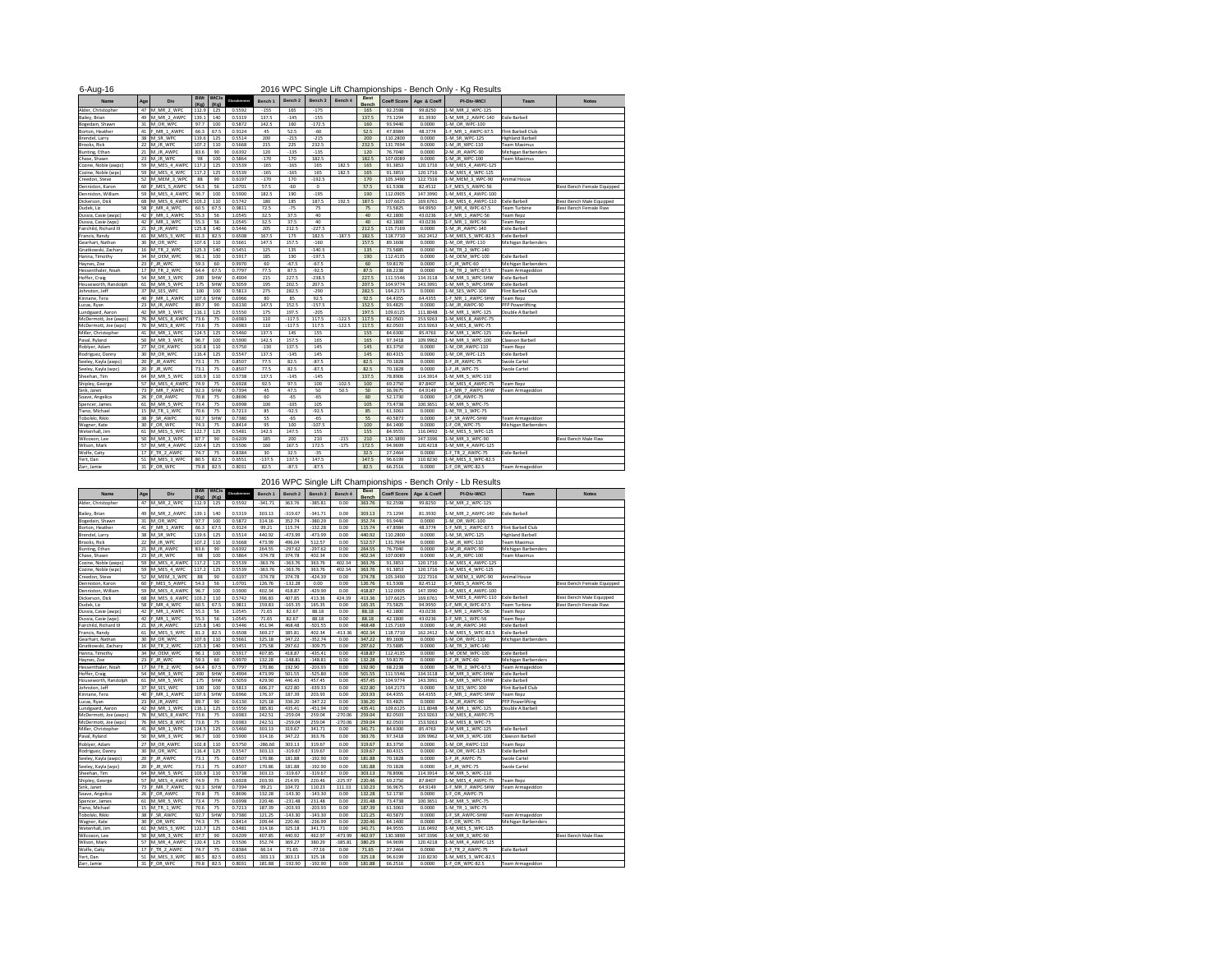| 2016 WPC Single Lift Championships - Bench Only - Kg Results<br>$6 - Aug-16$ |          |                     |                    |                      |              |                 |                |             |          |                             |             |             |                    |                           |                                   |
|------------------------------------------------------------------------------|----------|---------------------|--------------------|----------------------|--------------|-----------------|----------------|-------------|----------|-----------------------------|-------------|-------------|--------------------|---------------------------|-----------------------------------|
| <b>Name</b>                                                                  | Age      | <b>Div</b>          | <b>BWt</b><br>(Kg) | <b>WtCls</b><br>(Kg) | Glossbrenner | Bench 1         | <b>Bench 2</b> | Bench 3     | Bench 4  | <b>Best</b><br><b>Bench</b> | Coeff Score | Age & Coeff | <b>PI-Div-WtCl</b> | <b>Team</b>               | <b>Notes</b>                      |
| Alder, Christopher                                                           | 47       | M MR 2 WPC          | 112.9              | 125                  | 0.5592       | $-155$          | 165            | $-175$      |          | 165                         | 92.2598     | 99.8250     | 1-M MR 2 WPC-125   |                           |                                   |
| Bailey, Brian                                                                |          | 49 M_MR_2_AWPC      | 139.1              | 140                  | 0.5319       | 137.5           | $-145$         | $-155$      |          | 137.5                       | 73.1294     | 81.3930     | 1-M_MR_2_AWPC-140  | <b>Exile Barbell</b>      |                                   |
| Bogedain, Shawn                                                              | 31       | M OR WPC            | 97.7               | 100                  | 0.5872       | 142.5           | 160            | $-172.5$    |          | 160                         | 93.9440     | 0.0000      | 1-M OR WPC-100     |                           |                                   |
| Borton, Heather                                                              | 41       | MR 1 AWPC           | 66.3               | 67.5                 | 0.9124       | 45              | 52.5           | $-60$       |          | 52.5                        | 47.8984     | 48.3774     | 1-F_MR_1_AWPC-67.5 | <b>Flint Barbell Club</b> |                                   |
| Brendel, Larry                                                               |          | 38 M SR WPC         | 119.6              | 125                  | 0.5514       | 200             | $-215$         | $-215$      |          | 200                         | 110.2800    | 0.0000      | 1-M SR WPC-125     | <b>Highland Barbell</b>   |                                   |
| Brooks, Rick                                                                 |          | 22 M JR WPC         | 107.2              | 110                  | 0.5668       | 215             | 225            | 232.5       |          | 232.5                       | 131.7694    | 0.0000      | 1-M JR WPC-110     | <b>Team Maximus</b>       |                                   |
| Bunting, Ethan                                                               |          | 21 M JR AWPC        | 83.6               | 90                   | 0.6392       | 120             | $-135$         | $-135$      |          | 120                         | 76.7040     | 0.0000      | 2-M JR AWPC-90     | Michigan Barbenders       |                                   |
| Chase, Shawn                                                                 |          | 23 $\vert$ M JR WPC | 98                 | 100                  | 0.5864       | $-170$          | 170            | 182.5       |          | 182.5                       | 107.0089    | 0.0000      | 1-M JR WPC-100     | <b>Team Maximus</b>       |                                   |
| Cozine, Noble (awpc)                                                         | 59       | M MES 4 AWPC        | 117.2              | 125                  | 0.5539       | $-165$          | $-165$         | 165         | 182.5    | 165                         | 91.3853     | 120.1716    | 1-M_MES_4_AWPC-125 |                           |                                   |
| Cozine, Noble (wpc)                                                          |          | 59 M MES 4 WPC      | 117.2              | 125                  | 0.5539       | $-165$          | $-165$         | 165         | 182.5    | 165                         | 91.3853     | 120.1716    | 1-M_MES_4_WPC-125  |                           |                                   |
| Creedon, Steve                                                               |          | 52 M MEM 3 WPC      | 88                 | 90                   | 0.6197       | $-170$          | 170            | $-192.5$    |          | 170                         | 105.3490    | 122.7316    | 1-M_MEM_3_WPC-90   | <b>Animal House</b>       |                                   |
| Denniston, Karon                                                             |          | 60 F_MES_5_AWPC     | 54.3               | 56                   | 1.0701       | 57.5            | $-60$          | $\mathbf 0$ |          | 57.5                        | 61.5308     | 82.4512     | 1-F_MES_5_AWPC-56  |                           | <b>Best Bench Female Equipped</b> |
| Denniston, William                                                           |          | 59 M MES 4 AWPC     | 96.7               | 100                  | 0.5900       | 182.5           | 190            | $-195$      |          | 190                         | 112.0905    | 147.3990    | 1-M_MES_4_AWPC-100 |                           |                                   |
| Dickerson, Dick                                                              |          | 68 M MES 6 AWPC     | 103.2              | 110                  | 0.5742       | 180             | 185            | 187.5       | 192.5    | 187.5                       | 107.6625    | 169.6761    | 1-M MES 6 AWPC-110 | <b>Exile Barbell</b>      | <b>Best Bench Male Equipped</b>   |
| Dudek, Liz                                                                   | 58 F     | MR 4 WPC            | 60.5               | 67.5                 | 0.9811       | 72.5            | $-75$          | 75          |          | 75                          | 73.5825     | 94.9950     | 1-F_MR_4_WPC-67.5  | Team Turbine              | <b>Best Bench Female Raw</b>      |
| Dussia, Casie (awpc)                                                         |          | 42 F MR 1 AWPC      | 55.3               | 56                   | 1.0545       | 32.5            | 37.5           | 40          |          | 40                          | 42.1800     | 43.0236     | 1-F_MR_1_AWPC-56   | Team Repz                 |                                   |
| Dussia, Casie (wpc)                                                          | 42 $ F $ | MR 1 WPC            | 55.3               | 56                   | 1.0545       | 32.5            | 37.5           | 40          |          | 40                          | 42.1800     | 43.0236     | 1-F MR_1_WPC-56    | Team Repz                 |                                   |
| Fairchild, Richard III                                                       |          | 21 M JR AWPC        | 125.8              | 140                  | 0.5446       | 205             | 212.5          | $-227.5$    |          | 212.5                       | 115.7169    | 0.0000      | 1-M JR AWPC-140    | <b>Exile Barbell</b>      |                                   |
| Francis, Randy                                                               | 61       | M MES 5 WPC         | 81.3               | 82.5                 | 0.6508       | 167.5           | 175            | 182.5       | $-187.5$ | 182.5                       | 118.7710    | 162.2412    | 1-M_MES_5_WPC-82.5 | <b>Exile Barbell</b>      |                                   |
| Gearhart, Nathan                                                             |          | 30 M OR WPC         | 107.6              | 110                  | 0.5661       | 147.5           | 157.5          | $-160$      |          | 157.5                       | 89.1608     | 0.0000      | 1-M_OR_WPC-110     | Michigan Barbenders       |                                   |
| Gnatkowski, Zachary                                                          |          | 16   M TR 2 WPC     | 125.3              | 140                  | 0.5451       | 125             | 135            | $-140.5$    |          | 135                         | 73.5885     | 0.0000      |                    |                           |                                   |
|                                                                              |          |                     |                    |                      |              |                 |                |             |          |                             |             |             | 1-M_TR_2_WPC-140   | <b>Exile Barbell</b>      |                                   |
| Hanna, Timothy                                                               |          | 34 M_OEM_WPC        | 96.1               | 100                  | 0.5917       | 185             | 190            | $-197.5$    |          | 190                         | 112.4135    | 0.0000      | 1-M OEM_WPC-100    |                           |                                   |
| Haynes, Zoe                                                                  | 23       | JR WPC              | 59.3               | 60                   | 0.9970       | 60              | $-67.5$        | $-67.5$     |          | 60                          | 59.8170     | 0.0000      | 1-F JR WPC-60      | Michigan Barbenders       |                                   |
| Hessenthaler, Noah                                                           |          | 17 M TR 2 WPC       | 64.4               | 67.5                 | 0.7797       | 77.5            | 87.5           | $-92.5$     |          | 87.5                        | 68.2238     | 0.0000      | 1-M TR 2 WPC-67.5  | Team Armageddon           |                                   |
| Hoffer, Craig                                                                |          | 54 M_MR_3_WPC       | 200                | SHW                  | 0.4904       | 215             | 227.5          | $-238.5$    |          | 227.5                       | 111.5546    | 134.3118    | 1-M_MR_3_WPC-SHW   | <b>Exile Barbell</b>      |                                   |
| Houseworth, Randolph                                                         |          | 61 M_MR_5_WPC       | 175                | SHW                  | 0.5059       | 195             | 202.5          | 207.5       |          | 207.5                       | 104.9774    | 143.3991    | 1-M_MR_5_WPC-SHW   | <b>Exile Barbell</b>      |                                   |
| Johnston, Jeff                                                               |          | 37 M_SES_WPC        | 100                | 100                  | 0.5813       | 275             | 282.5          | $-290$      |          | 282.5                       | 164.2173    | 0.0000      | 1-M_SES_WPC-100    | Flint Barbell Club        |                                   |
| Kinnane, Tera                                                                |          | 40 F MR 1 AWPC      | 107.6              | SHW                  | 0.6966       | 80              | 85             | 92.5        |          | 92.5                        | 64.4355     | 64.4355     | 1-F MR 1 AWPC-SHW  | <b>Team Repz</b>          |                                   |
| Lucas, Ryan                                                                  |          | 23 M JR AWPC        | 89.7               | 90                   | 0.6130       | 147.5           | 152.5          | $-157.5$    |          | 152.5                       | 93.4825     | 0.0000      | 1-M JR AWPC-90     | <b>PFP Powerlifting</b>   |                                   |
| Lundgaard, Aaron                                                             |          | 42 M MR 1 WPC       | 116.1              | 125                  | 0.5550       | 175             | 197.5          | $-205$      |          | 197.5                       | 109.6125    | 111.8048    | 1-M_MR_1_WPC-125   | Double A Barbell          |                                   |
| McDermott, Joe (awpc)                                                        |          | 76 M MES 8 AWPC     | 73.6               | 75                   | 0.6983       | 110             | $-117.5$       | 117.5       | $-122.5$ | 117.5                       | 82.0503     | 153.9263    | 1-M_MES_8_AWPC-75  |                           |                                   |
| McDermott, Joe (wpc)                                                         |          | 76 M_MES_8 WPC      | 73.6               | 75                   | 0.6983       | 110             | $-117.5$       | 117.5       | $-122.5$ | 117.5                       | 82.0503     | 153.9263    | 1-M_MES_8_WPC-75   |                           |                                   |
| Miller, Christopher                                                          |          | 41 M_MR_1_WPC       | 124.5              | 125                  | 0.5460       | 137.5           | 145            | 155         |          | 155                         | 84.6300     | 85.4763     | 2-M_MR_1_WPC-125   | <b>Exile Barbell</b>      |                                   |
| Paval, Ryland                                                                |          | 50 M MR 3 WPC       | 96.7               | 100                  | 0.5900       | 142.5           | 157.5          | 165         |          | 165                         | 97.3418     | 109.9962    | 1-M_MR_3_WPC-100   | Clawson Barbell           |                                   |
| Roblyer, Adam                                                                |          | 27 M_OR_AWPC        | 102.8              | 110                  | 0.5750       | $-130$          | 137.5          | 145         |          | 145                         | 83.3750     | 0.0000      | 1-M_OR_AWPC-110    | Team Repz                 |                                   |
| Rodriguez, Danny                                                             |          | 30 M_OR_WPC         | 116.4              | 125                  | 0.5547       | 137.5           | $-145$         | 145         |          | 145                         | 80.4315     | 0.0000      | 1-M OR WPC-125     | Exile Barbell             |                                   |
| Seeley, Kayla (awpc)                                                         |          | 20 F JR AWPC        | 73.1               | 75                   | 0.8507       | 77.5            | 82.5           | $-87.5$     |          | 82.5                        | 70.1828     | 0.0000      | 1-F_JR_AWPC-75     | Swole Cartel              |                                   |
| Seeley, Kayla (wpc)                                                          |          | 20 $F$ JR WPC       | 73.1               | 75                   | 0.8507       | 77.5            | 82.5           | $-87.5$     |          | 82.5                        | 70.1828     | 0.0000      | 1-F_JR_WPC-75      | Swole Cartel              |                                   |
| Sheehan, Tim                                                                 |          | 64 M MR 5 WPC       | 103.9              | 110                  | 0.5738       | 137.5           | $-145$         | $-145$      |          | 137.5                       | 78.8906     | 114.3914    | 1-M MR 5 WPC-110   |                           |                                   |
| Shipley, George                                                              |          | 57 M MES 4 AWPC     | 74.9               | 75                   | 0.6928       | 92.5            | 97.5           | 100         | $-102.5$ | 100                         | 69.2750     | 87.8407     | 1-M MES 4 AWPC-75  | <b>Team Repz</b>          |                                   |
| Sink, Janet                                                                  | 73 F     | MR_7_AWPC           | 92.3               | SHW                  | 0.7394       | 45              | 47.5           | 50          | 50.5     | 50                          | 36.9675     | 64.9149     | 1-F_MR_7_AWPC-SHW  | Team Armageddon           |                                   |
| Soave, Angelica                                                              | $26$ F   | OR AWPC             | 70.8               | 75                   | 0.8696       | 60              | $-65$          | $-65$       |          | 60                          | 52.1730     | 0.0000      | 1-F OR AWPC-75     |                           |                                   |
| Spencer, James                                                               | 61       | M MR 5 WPC          | 73.4               | 75                   | 0.6998       | 100             | $-105$         | 105         |          | 105                         | 73.4738     | 100.3651    | 1-M MR 5 WPC-75    |                           |                                   |
| Tiano, Michael                                                               |          | 15 M TR 1 WPC       | 70.6               | 75                   | 0.7213       | 85              | $-92.5$        | $-92.5$     |          | 85                          | 61.3063     | 0.0000      | 1-M_TR_1_WPC-75    |                           |                                   |
| Tobolski, Rikki                                                              |          | 38 F SR AWPC        | 92.7               | SHW                  | 0.7380       | 55              | $-65$          | $-65$       |          | 55                          | 40.5873     | 0.0000      | 1-F_SR_AWPC-SHW    | Team Armageddon           |                                   |
| Wagner, Kate                                                                 |          | 30 F OR WPC         | 74.3               | 75                   | 0.8414       | 95              | 100            | $-107.5$    |          | 100                         | 84.1400     | 0.0000      | 1-F_OR_WPC-75      | Michigan Barbenders       |                                   |
| Wetenhall, Jim                                                               | 61       | M MES 5 WPC         | 122.7              | 125                  | 0.5481       | 142.5           | 147.5          | 155         |          | 155                         | 84.9555     | 116.0492    | 1-M MES 5 WPC-125  |                           |                                   |
| Wilcoxon, Lee                                                                |          | 50 M MR 3 WPC       | 87.7               | 90                   | 0.6209       | 185             | 200            | 210         | $-215$   | 210                         | 130.3890    | 147.3396    | 1-M MR 3 WPC-90    |                           | <b>Best Bench Male Raw</b>        |
| Wilson, Mark                                                                 |          | 57 M_MR_4 AWPC      | 120.4              | 125                  | 0.5506       | 160             | 167.5          | 172.5       | $-175$   | 172.5                       | 94.9699     | 120.4218    | 1-M MR 4 AWPC-125  |                           |                                   |
| Wolfe, Caity                                                                 |          | 17 FTR 2 AWPC       | 74.7               | 75                   | 0.8384       | 30 <sup>°</sup> | 32.5           | $-35$       |          | 32.5                        | 27.2464     | 0.0000      | 1-F TR 2 AWPC-75   | Exile Barbell             |                                   |
| Yert, Dan                                                                    |          | 51 M MES 3 WPC      | 80.5               | 82.5                 | 0.6551       | $-137.5$        | 137.5          | 147.5       |          | 147.5                       | 96.6199     | 110.8230    | 1-M_MES_3_WPC-82.5 |                           |                                   |
| Zarr, Jamie                                                                  |          | 31 F_OR_WPC         | 79.8               | 82.5                 | 0.8031       | 82.5            | $-87.5$        | $-87.5$     |          | 82.5                        | 66.2516     | 0.0000      | 1-F_OR_WPC-82.5    | Team Armageddon           |                                   |
|                                                                              |          |                     |                    |                      |              |                 |                |             |          |                             |             |             |                    |                           |                                   |

|                        | 2016 WPC Single Lift Championships - Bench Only - Lb Results |                     |                    |                      |              |           |           |           |           |                             |          |                           |                    |                         |                                   |  |  |
|------------------------|--------------------------------------------------------------|---------------------|--------------------|----------------------|--------------|-----------|-----------|-----------|-----------|-----------------------------|----------|---------------------------|--------------------|-------------------------|-----------------------------------|--|--|
| <b>Name</b>            | Age                                                          | Div                 | <b>BWt</b><br>(Kg) | <b>WtCls</b><br>(Kg) | Glossbrenner | Bench 1   | Bench 2   | Bench 3   | Bench 4   | <b>Best</b><br><b>Bench</b> |          | Coeff Score   Age & Coeff | <b>PI-Div-WtCl</b> | <b>Team</b>             | <b>Notes</b>                      |  |  |
| Alder, Christopher     |                                                              | 47 M MR 2 WPC       | 112.9              | 125                  | 0.5592       | $-341.71$ | 363.76    | $-385.81$ | 0.00      | 363.76                      | 92.2598  | 99.8250                   | 1-M_MR_2_WPC-125   |                         |                                   |  |  |
| Bailey, Brian          |                                                              | 49 M MR 2 AWPC      | 139.1              | 140                  | 0.5319       | 303.13    | $-319.67$ | $-341.71$ | 0.00      | 303.13                      | 73.1294  | 81.3930                   | 1-M MR 2 AWPC-140  | <b>Exile Barbell</b>    |                                   |  |  |
| Bogedain, Shawn        | 31                                                           | M OR WPC            | 97.7               | 100                  | 0.5872       | 314.16    | 352.74    | $-380.29$ | 0.00      | 352.74                      | 93.9440  | 0.0000                    | 1-M OR WPC-100     |                         |                                   |  |  |
| Borton, Heather        | 41                                                           | MR_1_AWPC           | 66.3               | 67.5                 | 0.9124       | 99.21     | 115.74    | $-132.28$ | 0.00      | 115.74                      | 47.8984  | 48.3774                   | 1-F_MR_1_AWPC-67.5 | Flint Barbell Club      |                                   |  |  |
| Brendel, Larry         |                                                              | 38 M SR WPC         | 119.6              | 125                  | 0.5514       | 440.92    | $-473.99$ | $-473.99$ | 0.00      | 440.92                      | 110.2800 | 0.0000                    | 1-M SR WPC-125     | <b>Highland Barbell</b> |                                   |  |  |
| Brooks, Rick           |                                                              | 22 M JR WPC         | 107.2              | 110                  | 0.5668       | 473.99    | 496.04    | 512.57    | 0.00      | 512.57                      | 131.7694 | 0.0000                    | 1-M JR WPC-110     | <b>Team Maximus</b>     |                                   |  |  |
| Bunting, Ethan         |                                                              | 21 M JR AWPC        | 83.6               | 90                   | 0.6392       | 264.55    | $-297.62$ | $-297.62$ | 0.00      | 264.55                      | 76.7040  | 0.0000                    | 2-M JR AWPC-90     | Michigan Barbenders     |                                   |  |  |
| Chase, Shawn           |                                                              | 23 $\vert$ M JR WPC | 98                 | 100                  | 0.5864       | $-374.78$ | 374.78    | 402.34    | 0.00      | 402.34                      | 107.0089 | 0.0000                    | 1-M JR WPC-100     | <b>Team Maximus</b>     |                                   |  |  |
| Cozine, Noble (awpc)   |                                                              | 59 M MES 4 AWPC     | 117.2              | 125                  | 0.5539       | $-363.76$ | $-363.76$ | 363.76    | 402.34    | 363.76                      | 91.3853  | 120.1716                  | 1-M_MES_4_AWPC-125 |                         |                                   |  |  |
| Cozine, Noble (wpc)    |                                                              | 59 M_MES_4_WPC      | 117.2              | 125                  | 0.5539       | $-363.76$ | $-363.76$ | 363.76    | 402.34    | 363.76                      | 91.3853  | 120.1716                  | 1-M MES 4 WPC-125  |                         |                                   |  |  |
|                        |                                                              | 52 M_MEM_3_WPC      | 88                 |                      | 0.6197       | $-374.78$ | 374.78    | $-424.39$ | 0.00      | 374.78                      | 105.3490 | 122.7316                  | 1-M MEM 3 WPC-90   | <b>Animal House</b>     |                                   |  |  |
| Creedon, Steve         |                                                              |                     | 54.3               | 90                   |              | 126.76    | $-132.28$ | 0.00      | 0.00      |                             |          |                           |                    |                         | <b>Best Bench Female Equipped</b> |  |  |
| Denniston, Karon       | 60                                                           | _MES_5_AWPC         |                    | 56                   | 1.0701       |           |           |           |           | 126.76                      | 61.5308  | 82.4512                   | 1-F_MES_5_AWPC-56  |                         |                                   |  |  |
| Denniston, William     |                                                              | 59 M MES 4 AWPC     | 96.7               | 100                  | 0.5900       | 402.34    | 418.87    | $-429.90$ | 0.00      | 418.87                      | 112.0905 | 147.3990                  | 1-M MES 4 AWPC-100 |                         |                                   |  |  |
| Dickerson, Dick        | 68                                                           | M_MES_6_AWPC        | 103.2              | 110                  | 0.5742       | 396.83    | 407.85    | 413.36    | 424.39    | 413.36                      | 107.6625 | 169.6761                  | 1-M MES 6 AWPC-110 | <b>Exile Barbell</b>    | Best Bench Male Equipped          |  |  |
| Dudek, Liz             | 58                                                           | MR 4 WPC            | 60.5               | 67.5                 | 0.9811       | 159.83    | $-165.35$ | 165.35    | 0.00      | 165.35                      | 73.5825  | 94.9950                   | 1-F MR 4 WPC-67.5  | <b>Team Turbine</b>     | Best Bench Female Raw             |  |  |
| Dussia, Casie (awpc)   | 42                                                           | MR_1_AWPC           | 55.3               | 56                   | 1.0545       | 71.65     | 82.67     | 88.18     | 0.00      | 88.18                       | 42.1800  | 43.0236                   | 1-F MR 1 AWPC-56   | Team Repz               |                                   |  |  |
| Dussia, Casie (wpc)    | 42                                                           | MR_1_WPC            | 55.3               | 56                   | 1.0545       | 71.65     | 82.67     | 88.18     | 0.00      | 88.18                       | 42.1800  | 43.0236                   | 1-F_MR_1_WPC-56    | Team Repz               |                                   |  |  |
| Fairchild, Richard III |                                                              | 21 M JR AWPC        | 125.8              | 140                  | 0.5446       | 451.94    | 468.48    | $-501.55$ | 0.00      | 468.48                      | 115.7169 | 0.0000                    | 1-M JR AWPC-140    | <b>Exile Barbell</b>    |                                   |  |  |
| Francis, Randy         |                                                              | 61 M_MES_5_WPC      | 81.3               | 82.5                 | 0.6508       | 369.27    | 385.81    | 402.34    | $-413.36$ | 402.34                      | 118.7710 | 162.2412                  | 1-M MES 5 WPC-82.5 | <b>Exile Barbell</b>    |                                   |  |  |
| Gearhart, Nathan       |                                                              | 30 M OR WPC         | 107.6              | 110                  | 0.5661       | 325.18    | 347.22    | $-352.74$ | 0.00      | 347.22                      | 89.1608  | 0.0000                    | 1-M OR WPC-110     | Michigan Barbenders     |                                   |  |  |
| Gnatkowski, Zachary    |                                                              | 16 M_TR_2_WPC       | 125.3              | 140                  | 0.5451       | 275.58    | 297.62    | $-309.75$ | 0.00      | 297.62                      | 73.5885  | 0.0000                    | 1-M_TR_2_WPC-140   |                         |                                   |  |  |
| Hanna, Timothy         |                                                              | 34 M OEM WPC        | 96.1               | 100                  | 0.5917       | 407.85    | 418.87    | $-435.41$ | 0.00      | 418.87                      | 112.4135 | 0.0000                    | 1-M OEM WPC-100    | <b>Exile Barbell</b>    |                                   |  |  |
| Haynes, Zoe            |                                                              | 23 $F$ JR WPC       | 59.3               | 60                   | 0.9970       | 132.28    | $-148.81$ | $-148.81$ | 0.00      | 132.28                      | 59.8170  | 0.0000                    | 1-F JR WPC-60      | Michigan Barbenders     |                                   |  |  |
| Hessenthaler, Noah     |                                                              | 17 M TR 2 WPC       | 64.4               | 67.5                 | 0.7797       | 170.86    | 192.90    | $-203.93$ | 0.00      | 192.90                      | 68.2238  | 0.0000                    | 1-M TR 2 WPC-67.5  | Team Armageddon         |                                   |  |  |
| Hoffer, Craig          |                                                              | 54 M MR 3 WPC       | 200                | SHW                  | 0.4904       | 473.99    | 501.55    | $-525.80$ | 0.00      | 501.55                      | 111.5546 | 134.3118                  | 1-M_MR_3_WPC-SHW   | <b>Exile Barbell</b>    |                                   |  |  |
| Houseworth, Randolph   | 61                                                           | M_MR_5_WPC          | 175                | SHW                  | 0.5059       | 429.90    | 446.43    | 457.45    | 0.00      | 457.45                      | 104.9774 | 143.3991                  | 1-M_MR_5_WPC-SHW   | <b>Exile Barbell</b>    |                                   |  |  |
| Johnston, Jeff         |                                                              | 37 M_SES_WPC        | 100                | 100                  | 0.5813       | 606.27    | 622.80    | $-639.33$ | 0.00      | 622.80                      | 164.2173 | 0.0000                    | 1-M_SES_WPC-100    | Flint Barbell Club      |                                   |  |  |
| Kinnane, Tera          |                                                              | 40 F_MR_1_AWPC      | 107.6              | SHW                  | 0.6966       | 176.37    | 187.39    | 203.93    | 0.00      | 203.93                      | 64.4355  | 64.4355                   | 1-F MR 1 AWPC-SHW  | <b>Team Repz</b>        |                                   |  |  |
| Lucas, Ryan            |                                                              | 23 M JR AWPC        | 89.7               | 90                   | 0.6130       | 325.18    | 336.20    | $-347.22$ | 0.00      | 336.20                      | 93.4825  | 0.0000                    | 1-M JR AWPC-90     | <b>PFP Powerlifting</b> |                                   |  |  |
| Lundgaard, Aaron       |                                                              | 42 M MR 1 WPC       | 116.1              | 125                  | 0.5550       | 385.81    | 435.41    | $-451.94$ | 0.00      | 435.41                      | 109.6125 | 111.8048                  | 1-M MR 1 WPC-125   | Double A Barbell        |                                   |  |  |
| McDermott, Joe (awpc)  |                                                              | 76 M_MES_8_AWPC     | 73.6               | 75                   | 0.6983       | 242.51    | $-259.04$ | 259.04    | $-270.06$ | 259.04                      | 82.0503  | 153.9263                  | 1-M_MES_8_AWPC-75  |                         |                                   |  |  |
| McDermott, Joe (wpc)   |                                                              | 76 M MES 8 WPC      | 73.6               | 75                   | 0.6983       | 242.51    | $-259.04$ | 259.04    | $-270.06$ | 259.04                      | 82.0503  | 153.9263                  | 1-M_MES_8_WPC-75   |                         |                                   |  |  |
| Miller, Christopher    |                                                              | 41   M MR 1 WPC     | 124.5              | 125                  | 0.5460       | 303.13    | 319.67    | 341.71    | 0.00      | 341.71                      | 84.6300  | 85.4763                   | 2-M_MR_1_WPC-125   | <b>Exile Barbell</b>    |                                   |  |  |
| Paval, Ryland          |                                                              | 50 M_MR_3_WPC       | 96.7               | 100                  | 0.5900       | 314.16    | 347.22    | 363.76    | 0.00      | 363.76                      | 97.3418  | 109.9962                  | 1-M_MR_3_WPC-100   | Clawson Barbell         |                                   |  |  |
| Roblyer, Adam          |                                                              | 27 M_OR_AWPC        | 102.8              | 110                  | 0.5750       | $-286.60$ | 303.13    | 319.67    | 0.00      | 319.67                      | 83.3750  | 0.0000                    | 1-M OR AWPC-110    | <b>Team Repz</b>        |                                   |  |  |
| Rodriguez, Danny       |                                                              | 30 M OR WPC         | 116.4              | 125                  | 0.5547       | 303.13    | $-319.67$ | 319.67    | 0.00      | 319.67                      | 80.4315  | 0.0000                    | 1-M_OR_WPC-125     | <b>Exile Barbell</b>    |                                   |  |  |
| Seeley, Kayla (awpc)   |                                                              | 20 F JR AWPC        | 73.1               | 75                   | 0.8507       | 170.86    | 181.88    | $-192.90$ | 0.00      | 181.88                      | 70.1828  | 0.0000                    | 1-F JR AWPC-75     | <b>Swole Cartel</b>     |                                   |  |  |
| Seeley, Kayla (wpc)    |                                                              | 20 F_JR_WPC         | 73.1               | 75                   | 0.8507       | 170.86    | 181.88    | $-192.90$ | 0.00      | 181.88                      | 70.1828  | 0.0000                    | 1-F JR WPC-75      | <b>Swole Cartel</b>     |                                   |  |  |
| Sheehan, Tim           |                                                              | 64 M_MR_5_WPC       | 103.9              | 110                  | 0.5738       | 303.13    | $-319.67$ | $-319.67$ | 0.00      | 303.13                      | 78.8906  | 114.3914                  | 1-M MR 5 WPC-110   |                         |                                   |  |  |
| Shipley, George        |                                                              | 57 M_MES_4_AWPC     | 74.9               | 75                   | 0.6928       | 203.93    | 214.95    | 220.46    | $-225.97$ | 220.46                      | 69.2750  | 87.8407                   | 1-M_MES_4_AWPC-75  | <b>Team Repz</b>        |                                   |  |  |
| Sink, Janet            |                                                              | 73   F_MR_7_AWPC    | 92.3               | SHW                  | 0.7394       | 99.21     | 104.72    | 110.23    | 111.33    | 110.23                      | 36.9675  | 64.9149                   | 1-F_MR_7_AWPC-SHW  | Team Armageddon         |                                   |  |  |
| Soave, Angelica        |                                                              | 26 F OR AWPC        | 70.8               | 75                   | 0.8696       | 132.28    | $-143.30$ | $-143.30$ | 0.00      | 132.28                      | 52.1730  | 0.0000                    | 1-F_OR_AWPC-75     |                         |                                   |  |  |
| Spencer, James         |                                                              | 61 M_MR_5_WPC       | 73.4               | 75                   | 0.6998       | 220.46    | $-231.48$ | 231.48    | 0.00      | 231.48                      | 73.4738  | 100.3651                  | 1-M_MR_5_WPC-75    |                         |                                   |  |  |
| Tiano, Michael         |                                                              | 15 M TR 1 WPC       | 70.6               | 75                   | 0.7213       | 187.39    | $-203.93$ | $-203.93$ | 0.00      | 187.39                      | 61.3063  | 0.0000                    | 1-M TR 1 WPC-75    |                         |                                   |  |  |
| Tobolski, Rikki        |                                                              | 38 F SR AWPC        | 92.7               | SHW                  | 0.7380       | 121.25    | $-143.30$ | $-143.30$ | 0.00      | 121.25                      | 40.5873  | 0.0000                    | 1-F SR AWPC-SHW    | <b>Team Armageddon</b>  |                                   |  |  |
|                        |                                                              | 30 F OR WPC         | 74.3               | 75                   | 0.8414       | 209.44    | 220.46    | $-236.99$ | 0.00      | 220.46                      | 84.1400  | 0.0000                    | 1-F OR WPC-75      | Michigan Barbenders     |                                   |  |  |
| Wagner, Kate           |                                                              | 61 M_MES_5_WPC      | 122.7              | 125                  | 0.5481       | 314.16    | 325.18    | 341.71    | 0.00      | 341.71                      | 84.9555  | 116.0492                  | 1-M_MES_5_WPC-125  |                         |                                   |  |  |
| Wetenhall, Jim         |                                                              |                     |                    |                      |              |           |           |           |           |                             |          |                           |                    |                         |                                   |  |  |
| Wilcoxon, Lee          |                                                              | 50 M MR 3 WPC       | 87.7               | 90                   | 0.6209       | 407.85    | 440.92    | 462.97    | $-473.99$ | 462.97                      | 130.3890 | 147.3396                  | 1-M MR 3 WPC-90    |                         | Best Bench Male Raw               |  |  |
| Wilson, Mark           |                                                              | 57 M_MR_4 AWPC      | 120.4              | 125                  | 0.5506       | 352.74    | 369.27    | 380.29    | $-385.81$ | 380.29                      | 94.9699  | 120.4218                  | 1-M MR 4 AWPC-125  |                         |                                   |  |  |
| Wolfe, Caity           |                                                              | 17   F_TR_2_AWPC    | 74.7               | 75                   | 0.8384       | 66.14     | 71.65     | $-77.16$  | 0.00      | 71.65                       | 27.2464  | 0.0000                    | 1-F_TR_2_AWPC-75   | <b>Exile Barbell</b>    |                                   |  |  |
| Yert, Dan              |                                                              | 51 M_MES_3_WPC      | 80.5               | 82.5                 | 0.6551       | $-303.13$ | 303.13    | 325.18    | 0.00      | 325.18                      | 96.6199  | 110.8230                  | 1-M_MES_3_WPC-82.5 |                         |                                   |  |  |
| Zarr, Jamie            |                                                              | 31 FOR WPC          | 79.8               | 82.5                 | 0.8031       | 181.88    | $-192.90$ | $-192.90$ | 0.00      | 181.88                      | 66.2516  | 0.0000                    | 1-F_OR_WPC-82.5    | <b>Team Armageddon</b>  |                                   |  |  |